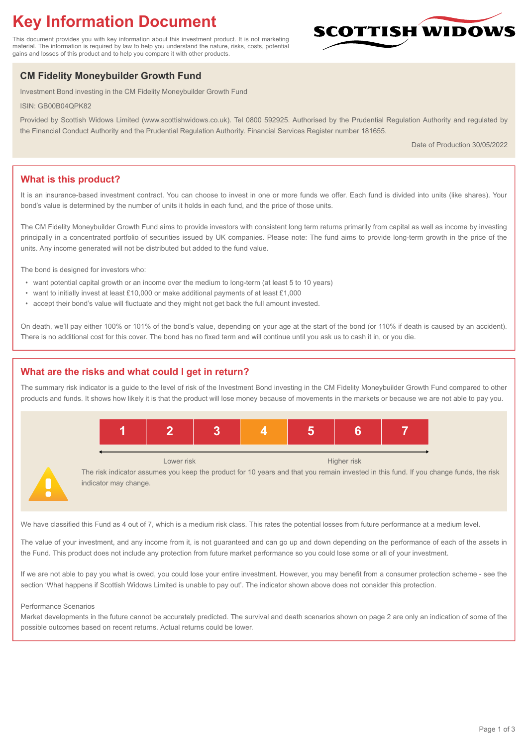# **Key Information Document**

This document provides you with key information about this investment product. It is not marketing material. The information is required by law to help you understand the nature, risks, costs, potential gains and losses of this product and to help you compare it with other products.

## **CM Fidelity Moneybuilder Growth Fund**

Investment Bond investing in the CM Fidelity Moneybuilder Growth Fund

ISIN: GB00B04QPK82

Provided by Scottish Widows Limited (www.scottishwidows.co.uk). Tel 0800 592925. Authorised by the Prudential Regulation Authority and regulated by the Financial Conduct Authority and the Prudential Regulation Authority. Financial Services Register number 181655.

Date of Production 30/05/2022

**SCOTTISH WIDOW** 

## **What is this product?**

It is an insurance-based investment contract. You can choose to invest in one or more funds we offer. Each fund is divided into units (like shares). Your bond's value is determined by the number of units it holds in each fund, and the price of those units.

The CM Fidelity Moneybuilder Growth Fund aims to provide investors with consistent long term returns primarily from capital as well as income by investing principally in a concentrated portfolio of securities issued by UK companies. Please note: The fund aims to provide long-term growth in the price of the units. Any income generated will not be distributed but added to the fund value.

The bond is designed for investors who:

- want potential capital growth or an income over the medium to long-term (at least 5 to 10 years)
- want to initially invest at least £10,000 or make additional payments of at least £1,000
- accept their bond's value will fluctuate and they might not get back the full amount invested.

On death, we'll pay either 100% or 101% of the bond's value, depending on your age at the start of the bond (or 110% if death is caused by an accident). There is no additional cost for this cover. The bond has no fixed term and will continue until you ask us to cash it in, or you die.

## **What are the risks and what could I get in return?**

The summary risk indicator is a guide to the level of risk of the Investment Bond investing in the CM Fidelity Moneybuilder Growth Fund compared to other products and funds. It shows how likely it is that the product will lose money because of movements in the markets or because we are not able to pay you.



The risk indicator assumes you keep the product for 10 years and that you remain invested in this fund. If you change funds, the risk indicator may change.

We have classified this Fund as 4 out of 7, which is a medium risk class. This rates the potential losses from future performance at a medium level.

The value of your investment, and any income from it, is not guaranteed and can go up and down depending on the performance of each of the assets in the Fund. This product does not include any protection from future market performance so you could lose some or all of your investment.

If we are not able to pay you what is owed, you could lose your entire investment. However, you may benefit from a consumer protection scheme - see the section 'What happens if Scottish Widows Limited is unable to pay out'. The indicator shown above does not consider this protection.

#### Performance Scenarios

Market developments in the future cannot be accurately predicted. The survival and death scenarios shown on page 2 are only an indication of some of the possible outcomes based on recent returns. Actual returns could be lower.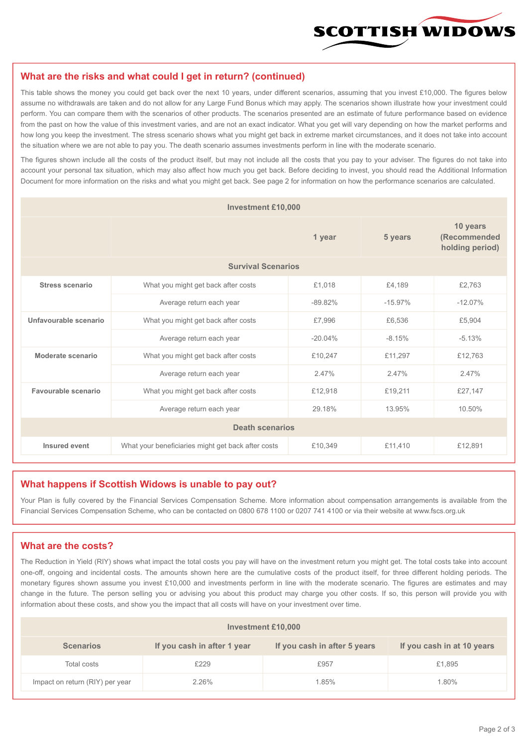

#### **What are the risks and what could I get in return? (continued)**

This table shows the money you could get back over the next 10 years, under different scenarios, assuming that you invest £10,000. The figures below assume no withdrawals are taken and do not allow for any Large Fund Bonus which may apply. The scenarios shown illustrate how your investment could perform. You can compare them with the scenarios of other products. The scenarios presented are an estimate of future performance based on evidence from the past on how the value of this investment varies, and are not an exact indicator. What you get will vary depending on how the market performs and how long you keep the investment. The stress scenario shows what you might get back in extreme market circumstances, and it does not take into account the situation where we are not able to pay you. The death scenario assumes investments perform in line with the moderate scenario.

The figures shown include all the costs of the product itself, but may not include all the costs that you pay to your adviser. The figures do not take into account your personal tax situation, which may also affect how much you get back. Before deciding to invest, you should read the Additional Information Document for more information on the risks and what you might get back. See page 2 for information on how the performance scenarios are calculated.

| <b>Investment £10,000</b> |                                                    |           |           |                                             |  |  |
|---------------------------|----------------------------------------------------|-----------|-----------|---------------------------------------------|--|--|
|                           |                                                    | 1 year    | 5 years   | 10 years<br>(Recommended<br>holding period) |  |  |
| <b>Survival Scenarios</b> |                                                    |           |           |                                             |  |  |
| Stress scenario           | £1,018<br>What you might get back after costs      |           | £4.189    | £2,763                                      |  |  |
|                           | Average return each year<br>$-89.82\%$             |           | $-15.97%$ | $-12.07%$                                   |  |  |
| Unfavourable scenario     | What you might get back after costs<br>£7,996      |           | £6,536    | £5,904                                      |  |  |
|                           | Average return each year                           | $-20.04%$ | $-8.15%$  | $-5.13%$                                    |  |  |
| Moderate scenario         | What you might get back after costs                | £10,247   | £11,297   | £12,763                                     |  |  |
|                           | Average return each year                           | 2.47%     | 2.47%     | 2.47%                                       |  |  |
| Favourable scenario       | What you might get back after costs                | £12,918   | £19,211   | £27,147                                     |  |  |
| Average return each year  |                                                    | 29.18%    | 13.95%    | 10.50%                                      |  |  |
| <b>Death scenarios</b>    |                                                    |           |           |                                             |  |  |
| Insured event             | What your beneficiaries might get back after costs | £10,349   | £11,410   | £12,891                                     |  |  |

#### **What happens if Scottish Widows is unable to pay out?**

Your Plan is fully covered by the Financial Services Compensation Scheme. More information about compensation arrangements is available from the Financial Services Compensation Scheme, who can be contacted on 0800 678 1100 or 0207 741 4100 or via their website at www.fscs.org.uk

#### **What are the costs?**

The Reduction in Yield (RIY) shows what impact the total costs you pay will have on the investment return you might get. The total costs take into account one-off, ongoing and incidental costs. The amounts shown here are the cumulative costs of the product itself, for three different holding periods. The monetary figures shown assume you invest £10,000 and investments perform in line with the moderate scenario. The figures are estimates and may change in the future. The person selling you or advising you about this product may charge you other costs. If so, this person will provide you with information about these costs, and show you the impact that all costs will have on your investment over time.

| Investment £10,000              |                             |                              |                            |  |  |  |
|---------------------------------|-----------------------------|------------------------------|----------------------------|--|--|--|
| <b>Scenarios</b>                | If you cash in after 1 year | If you cash in after 5 years | If you cash in at 10 years |  |  |  |
| Total costs                     | £229                        | £957                         | £1,895                     |  |  |  |
| Impact on return (RIY) per year | 2.26%                       | 1.85%                        | 1.80%                      |  |  |  |